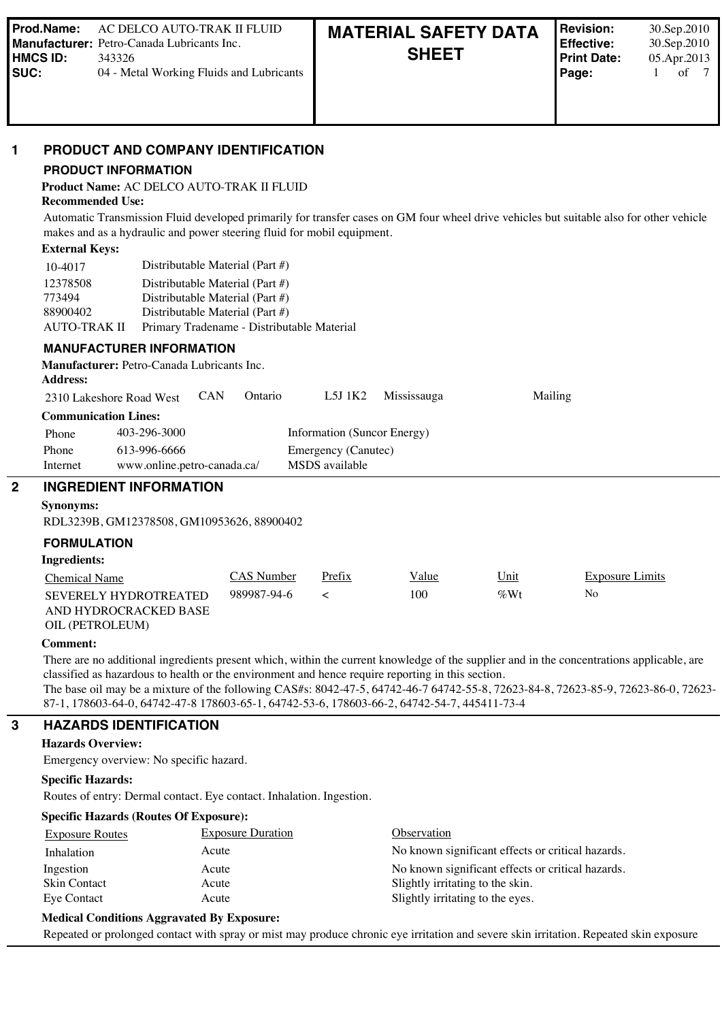#### **1 PRODUCT AND COMPANY IDENTIFICATION**

#### **PRODUCT INFORMATION**

**Product Name:** AC DELCO AUTO-TRAK II FLUID

**Recommended Use:**

Automatic Transmission Fluid developed primarily for transfer cases on GM four wheel drive vehicles but suitable also for other vehicle makes and as a hydraulic and power steering fluid for mobil equipment.

#### **External Keys:**

| 10-4017      | Distributable Material (Part #)            |
|--------------|--------------------------------------------|
| 12378508     | Distributable Material (Part $#$ )         |
| 773494       | Distributable Material (Part $#$ )         |
| 88900402     | Distributable Material (Part $#$ )         |
| AUTO-TRAK II | Primary Tradename - Distributable Material |

#### **MANUFACTURER INFORMATION**

#### **Manufacturer:** Petro-Canada Lubricants Inc. **Address:**

|                             | 2310 Lakeshore Road West    | <b>CAN</b> | Ontario | $L5J$ 1K2                   | Mississauga | Mailing |  |
|-----------------------------|-----------------------------|------------|---------|-----------------------------|-------------|---------|--|
| <b>Communication Lines:</b> |                             |            |         |                             |             |         |  |
| Phone                       | 403-296-3000                |            |         | Information (Suncor Energy) |             |         |  |
| Phone                       | 613-996-6666                |            |         | Emergency (Canutec)         |             |         |  |
| Internet                    | www.online.petro-canada.ca/ |            |         | MSDS available              |             |         |  |

#### **2 INGREDIENT INFORMATION**

#### **Synonyms:**

RDL3239B, GM12378508, GM10953626, 88900402

#### **FORMULATION**

#### **Ingredients:**

| Chemical Name                                  | CAS Number  | Prefix | Value | Unit   | Exposure Limits |
|------------------------------------------------|-------------|--------|-------|--------|-----------------|
| SEVERELY HYDROTREATED<br>AND HYDROCRACKED BASE | 989987-94-6 |        | 100   | $\%Wt$ | No              |
| OIL (PETROLEUM)                                |             |        |       |        |                 |

#### **Comment:**

There are no additional ingredients present which, within the current knowledge of the supplier and in the concentrations applicable, are classified as hazardous to health or the environment and hence require reporting in this section.

The base oil may be a mixture of the following CAS#s: 8042-47-5, 64742-46-7 64742-55-8, 72623-84-8, 72623-85-9, 72623-86-0, 72623- 87-1, 178603-64-0, 64742-47-8 178603-65-1, 64742-53-6, 178603-66-2, 64742-54-7, 445411-73-4

#### **3 HAZARDS IDENTIFICATION**

#### **Hazards Overview:**

Emergency overview: No specific hazard.

#### **Specific Hazards:**

Routes of entry: Dermal contact. Eye contact. Inhalation. Ingestion.

#### **Specific Hazards (Routes Of Exposure):**

| <b>Exposure Routes</b> | <b>Exposure Duration</b> | Observation                                       |
|------------------------|--------------------------|---------------------------------------------------|
| Inhalation             | Acute                    | No known significant effects or critical hazards. |
| Ingestion              | Acute                    | No known significant effects or critical hazards. |
| Skin Contact           | Acute                    | Slightly irritating to the skin.                  |
| Eye Contact            | Acute                    | Slightly irritating to the eyes.                  |

#### **Medical Conditions Aggravated By Exposure:**

Repeated or prolonged contact with spray or mist may produce chronic eye irritation and severe skin irritation. Repeated skin exposure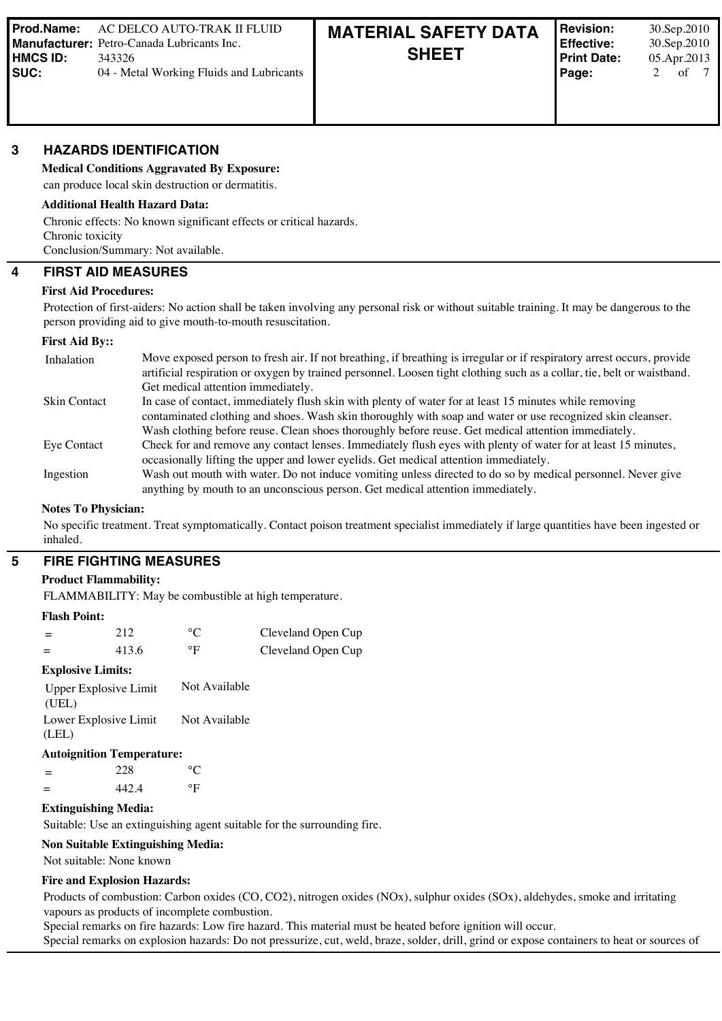#### **3 HAZARDS IDENTIFICATION**

**Medical Conditions Aggravated By Exposure:**

### can produce local skin destruction or dermatitis. **Additional Health Hazard Data:**

Chronic effects: No known significant effects or critical hazards. Chronic toxicity Conclusion/Summary: Not available.

# **4 FIRST AID MEASURES**

### **First Aid Procedures:**

Protection of first-aiders: No action shall be taken involving any personal risk or without suitable training. It may be dangerous to the person providing aid to give mouth-to-mouth resuscitation.

#### **First Aid By::**

| Inhalation          | Move exposed person to fresh air. If not breathing, if breathing is irregular or if respiratory arrest occurs, provide<br>artificial respiration or oxygen by trained personnel. Loosen tight clothing such as a collar, tie, belt or waistband.<br>Get medical attention immediately.                                      |
|---------------------|-----------------------------------------------------------------------------------------------------------------------------------------------------------------------------------------------------------------------------------------------------------------------------------------------------------------------------|
| <b>Skin Contact</b> | In case of contact, immediately flush skin with plenty of water for at least 15 minutes while removing<br>contaminated clothing and shoes. Wash skin thoroughly with soap and water or use recognized skin cleanser.<br>Wash clothing before reuse. Clean shoes thoroughly before reuse. Get medical attention immediately. |
| Eye Contact         | Check for and remove any contact lenses. Immediately flush eyes with plenty of water for at least 15 minutes,<br>occasionally lifting the upper and lower eyelids. Get medical attention immediately.                                                                                                                       |
| Ingestion           | Wash out mouth with water. Do not induce vomiting unless directed to do so by medical personnel. Never give<br>anything by mouth to an unconscious person. Get medical attention immediately.                                                                                                                               |

#### **Notes To Physician:**

No specific treatment. Treat symptomatically. Contact poison treatment specialist immediately if large quantities have been ingested or inhaled.

#### **5 FIRE FIGHTING MEASURES**

#### **Product Flammability:**

FLAMMABILITY: May be combustible at high temperature.

#### **Flash Point:**

| $=$ | 212   |    | Cleveland Open Cup |
|-----|-------|----|--------------------|
|     | 413.6 | ٥F | Cleveland Open Cup |

#### **Explosive Limits:**

| Upper Explosive Limit | Not Available |
|-----------------------|---------------|
| (UEL)                 |               |
| Lower Explosive Limit | Not Available |
| (LEL)                 |               |

#### **Autoignition Temperature:**

 $=$  228 °C  $=$  442.4  $^{\circ}$ F

# **Extinguishing Media:**

Suitable: Use an extinguishing agent suitable for the surrounding fire.

#### **Non Suitable Extinguishing Media:**

Not suitable: None known

#### **Fire and Explosion Hazards:**

Products of combustion: Carbon oxides (CO, CO2), nitrogen oxides (NOx), sulphur oxides (SOx), aldehydes, smoke and irritating vapours as products of incomplete combustion.

Special remarks on fire hazards: Low fire hazard. This material must be heated before ignition will occur.

Special remarks on explosion hazards: Do not pressurize, cut, weld, braze, solder, drill, grind or expose containers to heat or sources of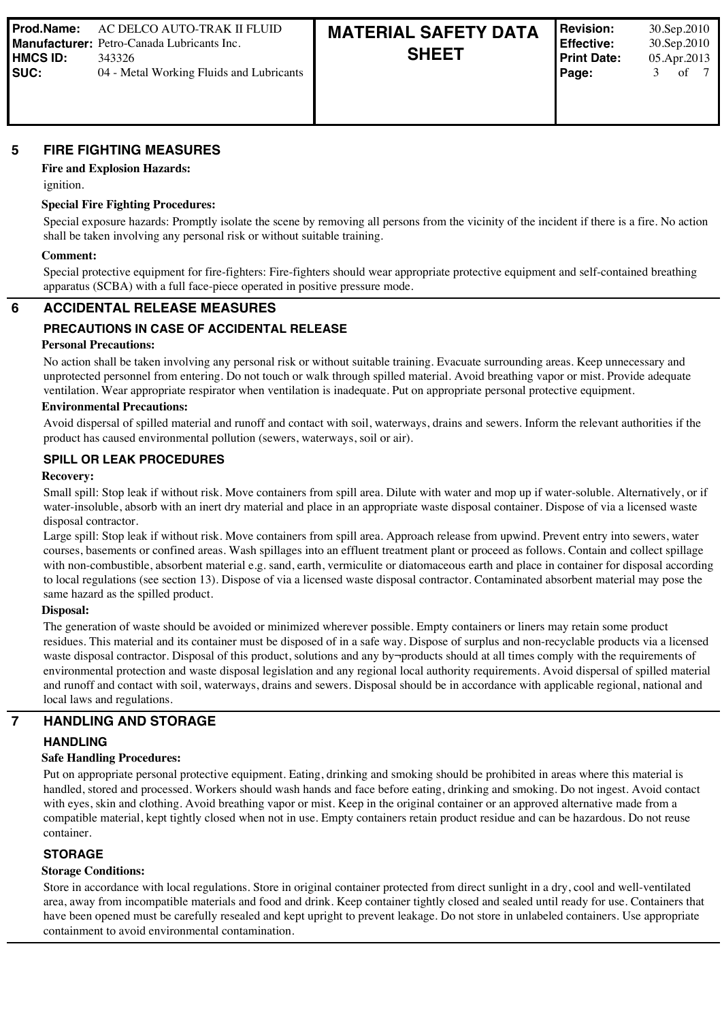# **5 FIRE FIGHTING MEASURES**

# **Fire and Explosion Hazards:**

ignition.

# **Special Fire Fighting Procedures:**

Special exposure hazards: Promptly isolate the scene by removing all persons from the vicinity of the incident if there is a fire. No action shall be taken involving any personal risk or without suitable training.

#### **Comment:**

Special protective equipment for fire-fighters: Fire-fighters should wear appropriate protective equipment and self-contained breathing apparatus (SCBA) with a full face-piece operated in positive pressure mode.

### **6 ACCIDENTAL RELEASE MEASURES**

# **PRECAUTIONS IN CASE OF ACCIDENTAL RELEASE**

#### **Personal Precautions:**

No action shall be taken involving any personal risk or without suitable training. Evacuate surrounding areas. Keep unnecessary and unprotected personnel from entering. Do not touch or walk through spilled material. Avoid breathing vapor or mist. Provide adequate ventilation. Wear appropriate respirator when ventilation is inadequate. Put on appropriate personal protective equipment.

#### **Environmental Precautions:**

Avoid dispersal of spilled material and runoff and contact with soil, waterways, drains and sewers. Inform the relevant authorities if the product has caused environmental pollution (sewers, waterways, soil or air).

### **SPILL OR LEAK PROCEDURES**

#### **Recovery:**

Small spill: Stop leak if without risk. Move containers from spill area. Dilute with water and mop up if water-soluble. Alternatively, or if water-insoluble, absorb with an inert dry material and place in an appropriate waste disposal container. Dispose of via a licensed waste disposal contractor.

Large spill: Stop leak if without risk. Move containers from spill area. Approach release from upwind. Prevent entry into sewers, water courses, basements or confined areas. Wash spillages into an effluent treatment plant or proceed as follows. Contain and collect spillage with non-combustible, absorbent material e.g. sand, earth, vermiculite or diatomaceous earth and place in container for disposal according to local regulations (see section 13). Dispose of via a licensed waste disposal contractor. Contaminated absorbent material may pose the same hazard as the spilled product.

#### **Disposal:**

The generation of waste should be avoided or minimized wherever possible. Empty containers or liners may retain some product residues. This material and its container must be disposed of in a safe way. Dispose of surplus and non-recyclable products via a licensed waste disposal contractor. Disposal of this product, solutions and any by¬products should at all times comply with the requirements of environmental protection and waste disposal legislation and any regional local authority requirements. Avoid dispersal of spilled material and runoff and contact with soil, waterways, drains and sewers. Disposal should be in accordance with applicable regional, national and local laws and regulations.

# **7 HANDLING AND STORAGE**

### **HANDLING**

#### **Safe Handling Procedures:**

Put on appropriate personal protective equipment. Eating, drinking and smoking should be prohibited in areas where this material is handled, stored and processed. Workers should wash hands and face before eating, drinking and smoking. Do not ingest. Avoid contact with eyes, skin and clothing. Avoid breathing vapor or mist. Keep in the original container or an approved alternative made from a compatible material, kept tightly closed when not in use. Empty containers retain product residue and can be hazardous. Do not reuse container.

# **STORAGE**

### **Storage Conditions:**

Store in accordance with local regulations. Store in original container protected from direct sunlight in a dry, cool and well-ventilated area, away from incompatible materials and food and drink. Keep container tightly closed and sealed until ready for use. Containers that have been opened must be carefully resealed and kept upright to prevent leakage. Do not store in unlabeled containers. Use appropriate containment to avoid environmental contamination.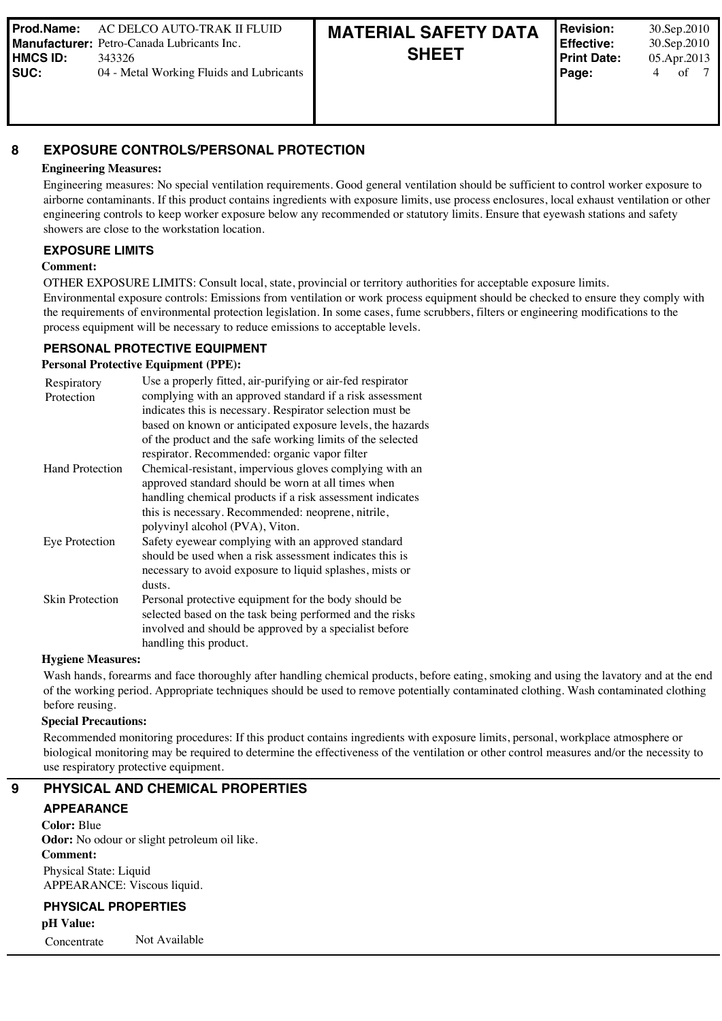# **8 EXPOSURE CONTROLS/PERSONAL PROTECTION**

### **Engineering Measures:**

Engineering measures: No special ventilation requirements. Good general ventilation should be sufficient to control worker exposure to airborne contaminants. If this product contains ingredients with exposure limits, use process enclosures, local exhaust ventilation or other engineering controls to keep worker exposure below any recommended or statutory limits. Ensure that eyewash stations and safety showers are close to the workstation location.

#### **EXPOSURE LIMITS**

#### **Comment:**

OTHER EXPOSURE LIMITS: Consult local, state, provincial or territory authorities for acceptable exposure limits.

Environmental exposure controls: Emissions from ventilation or work process equipment should be checked to ensure they comply with the requirements of environmental protection legislation. In some cases, fume scrubbers, filters or engineering modifications to the process equipment will be necessary to reduce emissions to acceptable levels.

#### **PERSONAL PROTECTIVE EQUIPMENT**

#### **Personal Protective Equipment (PPE):**

| Respiratory<br>Protection | Use a properly fitted, air-purifying or air-fed respirator<br>complying with an approved standard if a risk assessment<br>indicates this is necessary. Respirator selection must be |  |  |  |  |
|---------------------------|-------------------------------------------------------------------------------------------------------------------------------------------------------------------------------------|--|--|--|--|
|                           | based on known or anticipated exposure levels, the hazards<br>of the product and the safe working limits of the selected                                                            |  |  |  |  |
|                           | respirator. Recommended: organic vapor filter                                                                                                                                       |  |  |  |  |
| <b>Hand Protection</b>    | Chemical-resistant, impervious gloves complying with an<br>approved standard should be worn at all times when                                                                       |  |  |  |  |
|                           | handling chemical products if a risk assessment indicates                                                                                                                           |  |  |  |  |
|                           | this is necessary. Recommended: neoprene, nitrile,                                                                                                                                  |  |  |  |  |
|                           | polyvinyl alcohol (PVA), Viton.                                                                                                                                                     |  |  |  |  |
| <b>Eye Protection</b>     | Safety eyewear complying with an approved standard                                                                                                                                  |  |  |  |  |
|                           | should be used when a risk assessment indicates this is                                                                                                                             |  |  |  |  |
|                           | necessary to avoid exposure to liquid splashes, mists or                                                                                                                            |  |  |  |  |
|                           | dusts.                                                                                                                                                                              |  |  |  |  |
| <b>Skin Protection</b>    | Personal protective equipment for the body should be                                                                                                                                |  |  |  |  |
|                           | selected based on the task being performed and the risks                                                                                                                            |  |  |  |  |
|                           | involved and should be approved by a specialist before                                                                                                                              |  |  |  |  |
|                           | handling this product.                                                                                                                                                              |  |  |  |  |

#### **Hygiene Measures:**

Wash hands, forearms and face thoroughly after handling chemical products, before eating, smoking and using the lavatory and at the end of the working period. Appropriate techniques should be used to remove potentially contaminated clothing. Wash contaminated clothing before reusing.

#### **Special Precautions:**

Recommended monitoring procedures: If this product contains ingredients with exposure limits, personal, workplace atmosphere or biological monitoring may be required to determine the effectiveness of the ventilation or other control measures and/or the necessity to use respiratory protective equipment.

### **9 PHYSICAL AND CHEMICAL PROPERTIES**

#### **APPEARANCE**

**Color:** Blue **Odor:** No odour or slight petroleum oil like. **Comment:** Physical State: Liquid APPEARANCE: Viscous liquid.

#### **PHYSICAL PROPERTIES**

**pH Value:** 

Concentrate Not Available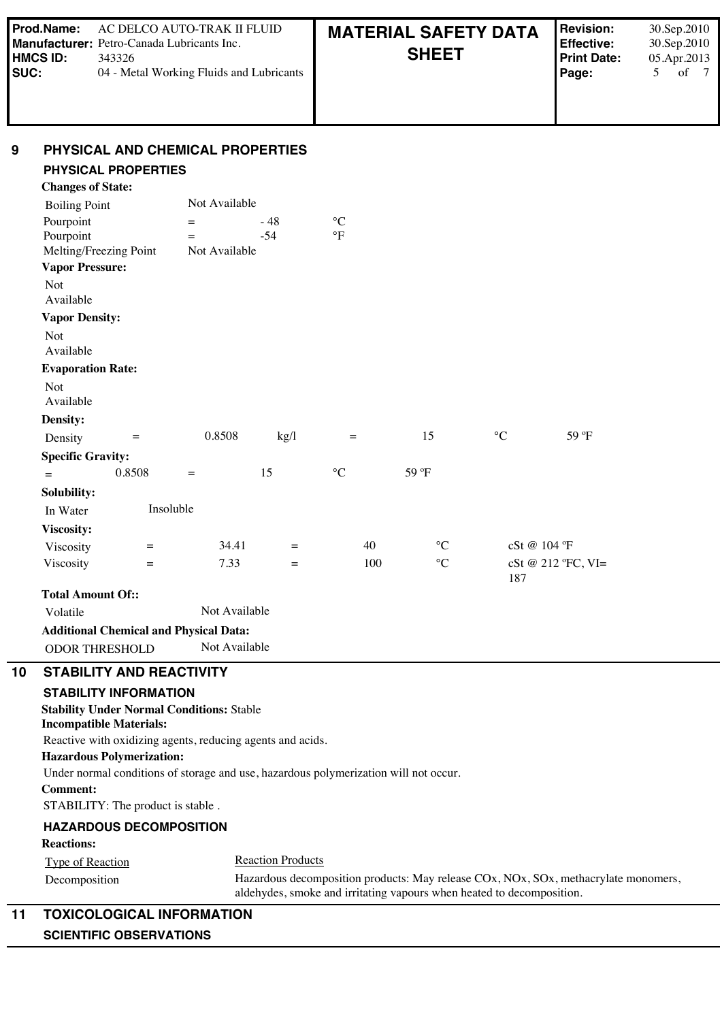| l Prod.Name:<br>AC DELCO AUTO-TRAK II FLUID<br><b>Manufacturer:</b> Petro-Canada Lubricants Inc.<br>  HMCS ID:<br>343326<br><b>ISUC:</b><br>04 - Metal Working Fluids and Lubricants |  | <b>MATERIAL SAFETY DATA</b><br><b>SHEET</b> | <b>Revision:</b><br>Effective:<br><b>Print Date:</b><br>Page: | 30.Sep.2010<br>30.Sep.2010<br>05.Apr.2013<br>of |
|--------------------------------------------------------------------------------------------------------------------------------------------------------------------------------------|--|---------------------------------------------|---------------------------------------------------------------|-------------------------------------------------|
|--------------------------------------------------------------------------------------------------------------------------------------------------------------------------------------|--|---------------------------------------------|---------------------------------------------------------------|-------------------------------------------------|

#### **9 PHYSICAL AND CHEMICAL PROPERTIES**

#### **PHYSICAL PROPERTIES Changes of State:**

| Changes of State:                                              |           |                                                                                                                                 |       |                 |                 |                 |                    |
|----------------------------------------------------------------|-----------|---------------------------------------------------------------------------------------------------------------------------------|-------|-----------------|-----------------|-----------------|--------------------|
| <b>Boiling Point</b>                                           |           | Not Available                                                                                                                   |       |                 |                 |                 |                    |
| Pourpoint                                                      |           | $=$                                                                                                                             | $-48$ | $\rm ^{\circ}C$ |                 |                 |                    |
| Pourpoint                                                      |           | $=$                                                                                                                             | $-54$ | $\circ$ F       |                 |                 |                    |
| Melting/Freezing Point                                         |           | Not Available                                                                                                                   |       |                 |                 |                 |                    |
| <b>Vapor Pressure:</b>                                         |           |                                                                                                                                 |       |                 |                 |                 |                    |
| Not<br>Available                                               |           |                                                                                                                                 |       |                 |                 |                 |                    |
| <b>Vapor Density:</b>                                          |           |                                                                                                                                 |       |                 |                 |                 |                    |
| <b>Not</b><br>Available                                        |           |                                                                                                                                 |       |                 |                 |                 |                    |
| <b>Evaporation Rate:</b>                                       |           |                                                                                                                                 |       |                 |                 |                 |                    |
| Not<br>Available                                               |           |                                                                                                                                 |       |                 |                 |                 |                    |
| <b>Density:</b>                                                |           |                                                                                                                                 |       |                 |                 |                 |                    |
| Density                                                        | $\quad =$ | 0.8508                                                                                                                          | kg/l  | $\equiv$        | 15              | $\rm ^{\circ}C$ | 59 °F              |
| <b>Specific Gravity:</b>                                       |           |                                                                                                                                 |       |                 |                 |                 |                    |
| $=$                                                            | 0.8508    | $=$                                                                                                                             | 15    | $\rm ^{\circ}C$ | 59 °F           |                 |                    |
| Solubility:                                                    |           |                                                                                                                                 |       |                 |                 |                 |                    |
| In Water                                                       | Insoluble |                                                                                                                                 |       |                 |                 |                 |                    |
| Viscosity:                                                     |           |                                                                                                                                 |       |                 |                 |                 |                    |
| Viscosity                                                      | $=$       | 34.41                                                                                                                           | $=$   | 40              | $\rm ^{\circ}C$ |                 | cSt @ 104 °F       |
| Viscosity                                                      | $=$       | 7.33                                                                                                                            | $=$   | 100             | $\rm ^{\circ}C$ | 187             | cSt @ 212 °FC, VI= |
| <b>Total Amount Of::</b>                                       |           |                                                                                                                                 |       |                 |                 |                 |                    |
| Volatile                                                       |           | Not Available                                                                                                                   |       |                 |                 |                 |                    |
|                                                                |           | <b>Additional Chemical and Physical Data:</b>                                                                                   |       |                 |                 |                 |                    |
| <b>ODOR THRESHOLD</b>                                          |           | Not Available                                                                                                                   |       |                 |                 |                 |                    |
| <b>STABILITY AND REACTIVITY</b>                                |           |                                                                                                                                 |       |                 |                 |                 |                    |
| <b>STABILITY INFORMATION</b><br><b>Incompatible Materials:</b> |           | <b>Stability Under Normal Conditions: Stable</b>                                                                                |       |                 |                 |                 |                    |
|                                                                |           | Reactive with oxidizing agents, reducing agents and acids.                                                                      |       |                 |                 |                 |                    |
|                                                                |           | $\mathbf{H}_{\text{source}}$ , and $\mathbf{D}_{\text{c}}$ , and $\mathbf{L}_{\text{source}}$ , and $\mathbf{L}_{\text{error}}$ |       |                 |                 |                 |                    |

# **Hazardous Polymerization:**

Under normal conditions of storage and use, hazardous polymerization will not occur.

#### **Comment:**

STABILITY: The product is stable .

### **HAZARDOUS DECOMPOSITION**

**Reactions:** 

Type of Reaction **Reaction Reaction** Products Decomposition Hazardous decomposition products: May release COx, NOx, SOx, methacrylate monomers, aldehydes, smoke and irritating vapours when heated to decomposition.

# **11 TOXICOLOGICAL INFORMATION SCIENTIFIC OBSERVATIONS**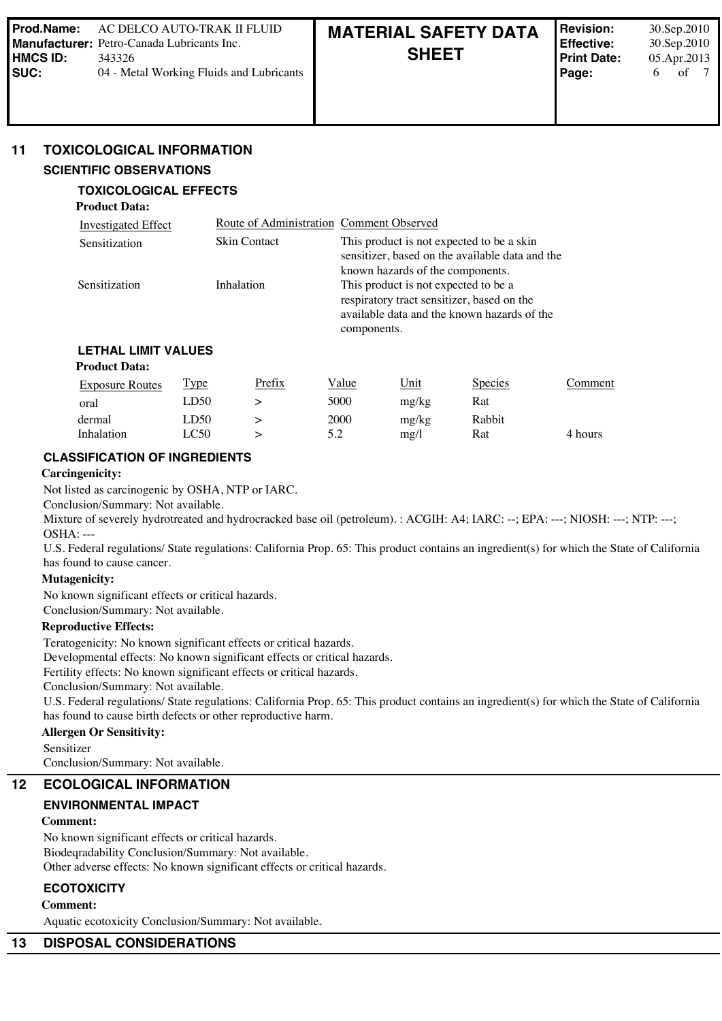# **11 TOXICOLOGICAL INFORMATION**

### **SCIENTIFIC OBSERVATIONS**

**Product Data:** 

# **TOXICOLOGICAL EFFECTS**

| Investigated Effect | Route of Administration Comment Observed |                                                                                                                                   |
|---------------------|------------------------------------------|-----------------------------------------------------------------------------------------------------------------------------------|
| Sensitization       | <b>Skin Contact</b>                      | This product is not expected to be a skin<br>sensitizer, based on the available data and the<br>known hazards of the components.  |
| Sensitization       | Inhalation                               | This product is not expected to be a<br>respiratory tract sensitizer, based on the<br>available data and the known hazards of the |
|                     |                                          | components.                                                                                                                       |

# **LETHAL LIMIT VALUES**

# **Product Data:**

| <b>Exposure Routes</b> | <u>Type</u> | Prefix | Value | <u>Unit</u> | <b>Species</b> | Comment |
|------------------------|-------------|--------|-------|-------------|----------------|---------|
| oral                   | D50         |        | 5000  | mg/kg       | Rat            |         |
| dermal                 | LD50        |        | 2000  | mg/kg       | Rabbit         |         |
| Inhalation             | LC50        |        | 5.2   | $m\Omega$   | Rat            | 4 hours |

# **CLASSIFICATION OF INGREDIENTS**

### **Carcingenicity:**

Not listed as carcinogenic by OSHA, NTP or IARC.

Conclusion/Summary: Not available.

Mixture of severely hydrotreated and hydrocracked base oil (petroleum). : ACGIH: A4; IARC: --; EPA: ---; NIOSH: ---; NTP: ---; OSHA: ---

U.S. Federal regulations/ State regulations: California Prop. 65: This product contains an ingredient(s) for which the State of California has found to cause cancer.

### **Mutagenicity:**

No known significant effects or critical hazards. Conclusion/Summary: Not available.

# **Reproductive Effects:**

Teratogenicity: No known significant effects or critical hazards.

Developmental effects: No known significant effects or critical hazards.

Fertility effects: No known significant effects or critical hazards.

Conclusion/Summary: Not available.

U.S. Federal regulations/ State regulations: California Prop. 65: This product contains an ingredient(s) for which the State of California has found to cause birth defects or other reproductive harm.

# **Allergen Or Sensitivity:**

Sensitizer

Conclusion/Summary: Not available.

# **12 ECOLOGICAL INFORMATION**

# **ENVIRONMENTAL IMPACT**

# **Comment:**

No known significant effects or critical hazards. Biodeqradability Conclusion/Summary: Not available. Other adverse effects: No known significant effects or critical hazards.

# **ECOTOXICITY**

**Comment:**

Aquatic ecotoxicity Conclusion/Summary: Not available.

# **13 DISPOSAL CONSIDERATIONS**